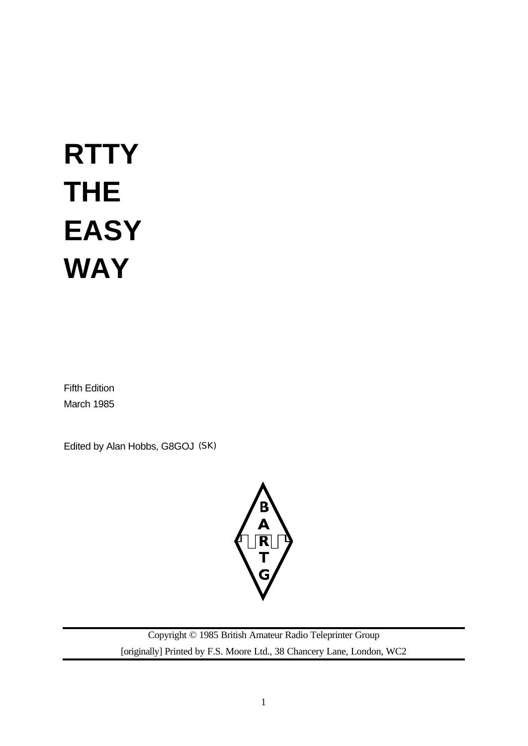# **RTTY THE EASY WAY**

Fifth Edition March 1985

Edited by Alan Hobbs, G8GOJ (SK)



Copyright © 1985 British Amateur Radio Teleprinter Group [originally] Printed by F.S. Moore Ltd., 38 Chancery Lane, London, WC2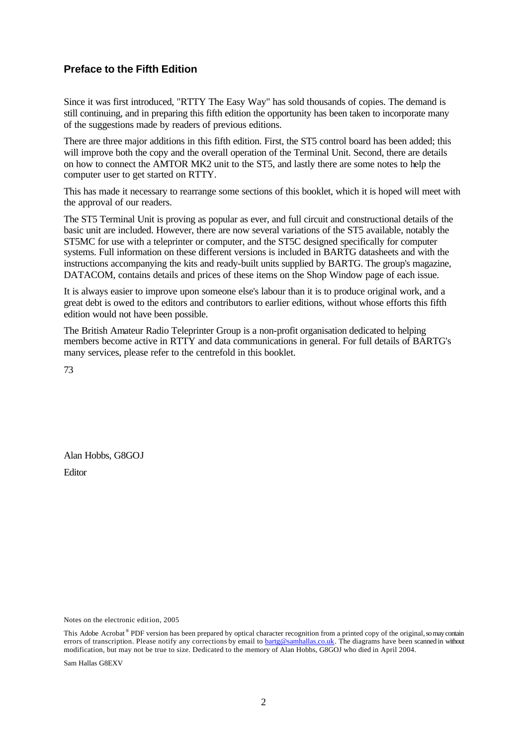# **Preface to the Fifth Edition**

Since it was first introduced, "RTTY The Easy Way" has sold thousands of copies. The demand is still continuing, and in preparing this fifth edition the opportunity has been taken to incorporate many of the suggestions made by readers of previous editions.

There are three major additions in this fifth edition. First, the ST5 control board has been added; this will improve both the copy and the overall operation of the Terminal Unit. Second, there are details on how to connect the AMTOR MK2 unit to the ST5, and lastly there are some notes to help the computer user to get started on RTTY.

This has made it necessary to rearrange some sections of this booklet, which it is hoped will meet with the approval of our readers.

The ST5 Terminal Unit is proving as popular as ever, and full circuit and constructional details of the basic unit are included. However, there are now several variations of the ST5 available, notably the ST5MC for use with a teleprinter or computer, and the ST5C designed specifically for computer systems. Full information on these different versions is included in BARTG datasheets and with the instructions accompanying the kits and ready-built units supplied by BARTG. The group's magazine, DATACOM, contains details and prices of these items on the Shop Window page of each issue.

It is always easier to improve upon someone else's labour than it is to produce original work, and a great debt is owed to the editors and contributors to earlier editions, without whose efforts this fifth edition would not have been possible.

The British Amateur Radio Teleprinter Group is a non-profit organisation dedicated to helping members become active in RTTY and data communications in general. For full details of BARTG's many services, please refer to the centrefold in this booklet.

73

Alan Hobbs, G8GOJ Editor

Notes on the electronic edition, 2005

Sam Hallas G8EXV

This Adobe Acrobat<sup>®</sup> PDF version has been prepared by optical character recognition from a printed copy of the original, so may contain errors of transcription. Please notify any corrections by email to **bartg@samhallas.co.uk**. The diagrams have been scanned in without modification, but may not be true to size. Dedicated to the memory of Alan Hobbs, G8GOJ who died in April 2004.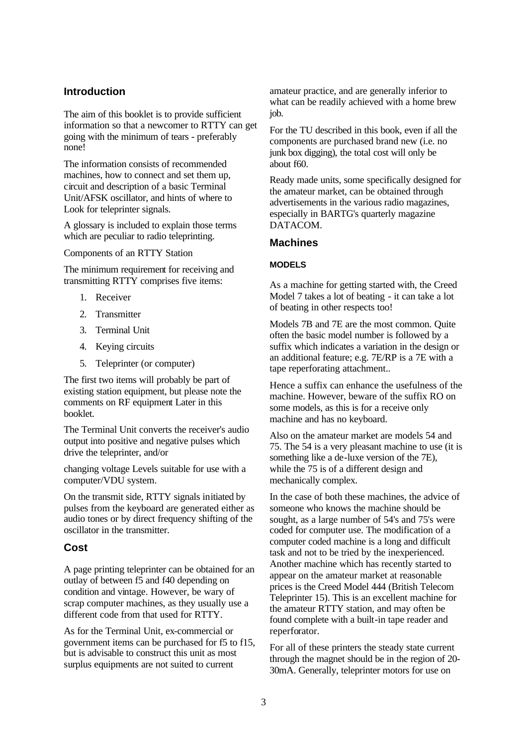# **Introduction**

The aim of this booklet is to provide sufficient information so that a newcomer to RTTY can get going with the minimum of tears - preferably none!

The information consists of recommended machines, how to connect and set them up, circuit and description of a basic Terminal Unit/AFSK oscillator, and hints of where to Look for teleprinter signals.

A glossary is included to explain those terms which are peculiar to radio teleprinting.

Components of an RTTY Station

The minimum requirement for receiving and transmitting RTTY comprises five items:

- 1. Receiver
- 2. Transmitter
- 3. Terminal Unit
- 4. Keying circuits
- 5. Teleprinter (or computer)

The first two items will probably be part of existing station equipment, but please note the comments on RF equipment Later in this booklet.

The Terminal Unit converts the receiver's audio output into positive and negative pulses which drive the teleprinter, and/or

changing voltage Levels suitable for use with a computer/VDU system.

On the transmit side, RTTY signals initiated by pulses from the keyboard are generated either as audio tones or by direct frequency shifting of the oscillator in the transmitter.

# **Cost**

A page printing teleprinter can be obtained for an outlay of between f5 and f40 depending on condition and vintage. However, be wary of scrap computer machines, as they usually use a different code from that used for RTTY.

As for the Terminal Unit, ex-commercial or government items can be purchased for f5 to f15, but is advisable to construct this unit as most surplus equipments are not suited to current

amateur practice, and are generally inferior to what can be readily achieved with a home brew job.

For the TU described in this book, even if all the components are purchased brand new (i.e. no junk box digging), the total cost will only be about f60.

Ready made units, some specifically designed for the amateur market, can be obtained through advertisements in the various radio magazines, especially in BARTG's quarterly magazine DATACOM.

# **Machines**

#### **MODELS**

As a machine for getting started with, the Creed Model 7 takes a lot of beating - it can take a lot of beating in other respects too!

Models 7B and 7E are the most common. Quite often the basic model number is followed by a suffix which indicates a variation in the design or an additional feature; e.g. 7E/RP is a 7E with a tape reperforating attachment..

Hence a suffix can enhance the usefulness of the machine. However, beware of the suffix RO on some models, as this is for a receive only machine and has no keyboard.

Also on the amateur market are models 54 and 75. The 54 is a very pleasant machine to use (it is something like a de-luxe version of the 7E), while the 75 is of a different design and mechanically complex.

In the case of both these machines, the advice of someone who knows the machine should be sought, as a large number of 54's and 75's were coded for computer use. The modification of a computer coded machine is a long and difficult task and not to be tried by the inexperienced. Another machine which has recently started to appear on the amateur market at reasonable prices is the Creed Model 444 (British Telecom Teleprinter 15). This is an excellent machine for the amateur RTTY station, and may often be found complete with a built-in tape reader and reperforator.

For all of these printers the steady state current through the magnet should be in the region of 20- 30mA. Generally, teleprinter motors for use on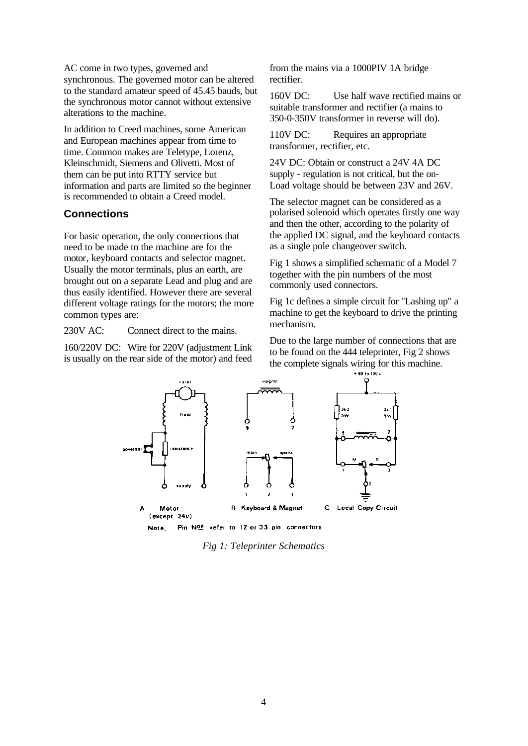AC come in two types, governed and synchronous. The governed motor can be altered to the standard amateur speed of 45.45 bauds, but the synchronous motor cannot without extensive alterations to the machine.

In addition to Creed machines, some American and European machines appear from time to time. Common makes are Teletype, Lorenz, Kleinschmidt, Siemens and Olivetti. Most of them can be put into RTTY service but information and parts are limited so the beginner is recommended to obtain a Creed model.

#### **Connections**

For basic operation, the only connections that need to be made to the machine are for the motor, keyboard contacts and selector magnet. Usually the motor terminals, plus an earth, are brought out on a separate Lead and plug and are thus easily identified. However there are several different voltage ratings for the motors; the more common types are:

230V AC: Connect direct to the mains.

160/220V DC: Wire for 220V (adjustment Link is usually on the rear side of the motor) and feed from the mains via a 1000PIV 1A bridge rectifier.

160V DC: Use half wave rectified mains or suitable transformer and rectifier (a mains to 350-0-350V transformer in reverse will do).

110V DC: Requires an appropriate transformer, rectifier, etc.

24V DC: Obtain or construct a 24V 4A DC supply - regulation is not critical, but the on-Load voltage should be between 23V and 26V.

The selector magnet can be considered as a polarised solenoid which operates firstly one way and then the other, according to the polarity of the applied DC signal, and the keyboard contacts as a single pole changeover switch.

Fig 1 shows a simplified schematic of a Model 7 together with the pin numbers of the most commonly used connectors.

Fig 1c defines a simple circuit for "Lashing up" a machine to get the keyboard to drive the printing mechanism.

Due to the large number of connections that are to be found on the 444 teleprinter, Fig 2 shows the complete signals wiring for this machine.  $-80$  to  $100 -$ 



Pin NOS refer to 12 or 33 pin connectors

*Fig 1: Teleprinter Schematics*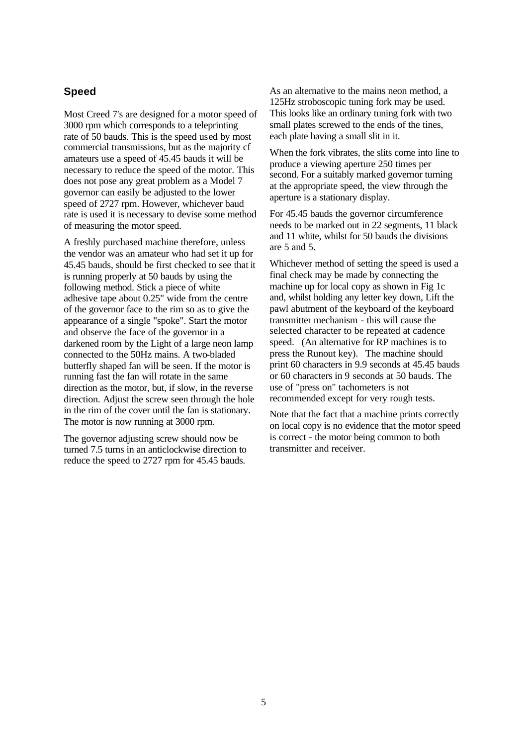# **Speed**

Most Creed 7's are designed for a motor speed of 3000 rpm which corresponds to a teleprinting rate of 50 bauds. This is the speed used by most commercial transmissions, but as the majority cf amateurs use a speed of 45.45 bauds it will be necessary to reduce the speed of the motor. This does not pose any great problem as a Model 7 governor can easily be adjusted to the lower speed of 2727 rpm. However, whichever baud rate is used it is necessary to devise some method of measuring the motor speed.

A freshly purchased machine therefore, unless the vendor was an amateur who had set it up for 45.45 bauds, should be first checked to see that it is running properly at 50 bauds by using the following method. Stick a piece of white adhesive tape about 0.25" wide from the centre of the governor face to the rim so as to give the appearance of a single "spoke". Start the motor and observe the face of the governor in a darkened room by the Light of a large neon lamp connected to the 50Hz mains. A two-bladed butterfly shaped fan will be seen. If the motor is running fast the fan will rotate in the same direction as the motor, but, if slow, in the reverse direction. Adjust the screw seen through the hole in the rim of the cover until the fan is stationary. The motor is now running at 3000 rpm.

The governor adjusting screw should now be turned 7.5 turns in an anticlockwise direction to reduce the speed to 2727 rpm for 45.45 bauds.

As an alternative to the mains neon method, a 125Hz stroboscopic tuning fork may be used. This looks like an ordinary tuning fork with two small plates screwed to the ends of the tines, each plate having a small slit in it.

When the fork vibrates, the slits come into line to produce a viewing aperture 250 times per second. For a suitably marked governor turning at the appropriate speed, the view through the aperture is a stationary display.

For 45.45 bauds the governor circumference needs to be marked out in 22 segments, 11 black and 11 white, whilst for 50 bauds the divisions are 5 and 5.

Whichever method of setting the speed is used a final check may be made by connecting the machine up for local copy as shown in Fig 1c and, whilst holding any letter key down, Lift the pawl abutment of the keyboard of the keyboard transmitter mechanism - this will cause the selected character to be repeated at cadence speed. (An alternative for RP machines is to press the Runout key). The machine should print 60 characters in 9.9 seconds at 45.45 bauds or 60 characters in 9 seconds at 50 bauds. The use of "press on" tachometers is not recommended except for very rough tests.

Note that the fact that a machine prints correctly on local copy is no evidence that the motor speed is correct - the motor being common to both transmitter and receiver.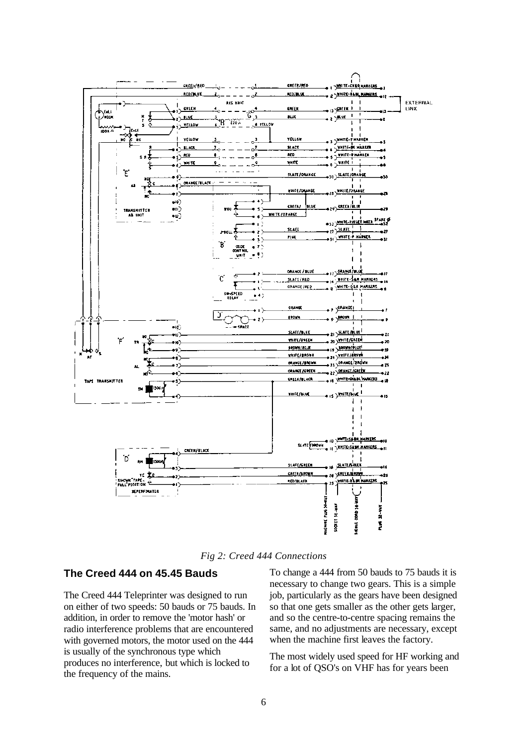

*Fig 2: Creed 444 Connections*

#### **The Creed 444 on 45.45 Bauds**

The Creed 444 Teleprinter was designed to run on either of two speeds: 50 bauds or 75 bauds. In addition, in order to remove the 'motor hash' or radio interference problems that are encountered with governed motors, the motor used on the 444 is usually of the synchronous type which produces no interference, but which is locked to the frequency of the mains.

To change a 444 from 50 bauds to 75 bauds it is necessary to change two gears. This is a simple job, particularly as the gears have been designed so that one gets smaller as the other gets larger, and so the centre-to-centre spacing remains the same, and no adjustments are necessary, except when the machine first leaves the factory.

The most widely used speed for HF working and for a lot of QSO's on VHF has for years been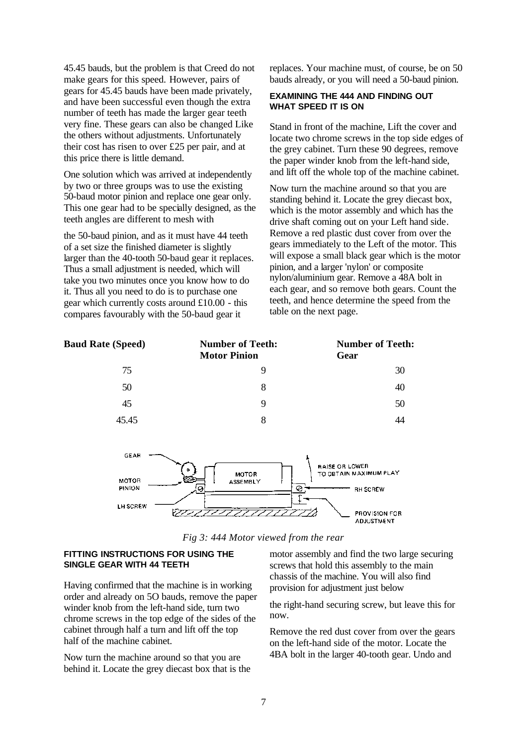45.45 bauds, but the problem is that Creed do not make gears for this speed. However, pairs of gears for 45.45 bauds have been made privately, and have been successful even though the extra number of teeth has made the larger gear teeth very fine. These gears can also be changed Like the others without adjustments. Unfortunately their cost has risen to over £25 per pair, and at this price there is little demand.

One solution which was arrived at independently by two or three groups was to use the existing 50-baud motor pinion and replace one gear only. This one gear had to be specially designed, as the teeth angles are different to mesh with

the 50-baud pinion, and as it must have 44 teeth of a set size the finished diameter is slightly larger than the 40-tooth 50-baud gear it replaces. Thus a small adjustment is needed, which will take you two minutes once you know how to do it. Thus all you need to do is to purchase one gear which currently costs around £10.00 - this compares favourably with the 50-baud gear it

replaces. Your machine must, of course, be on 50 bauds already, or you will need a 50-baud pinion.

#### **EXAMINING THE 444 AND FINDING OUT WHAT SPEED IT IS ON**

Stand in front of the machine, Lift the cover and locate two chrome screws in the top side edges of the grey cabinet. Turn these 90 degrees, remove the paper winder knob from the left-hand side, and lift off the whole top of the machine cabinet.

Now turn the machine around so that you are standing behind it. Locate the grey diecast box, which is the motor assembly and which has the drive shaft coming out on your Left hand side. Remove a red plastic dust cover from over the gears immediately to the Left of the motor. This will expose a small black gear which is the motor pinion, and a larger 'nylon' or composite nylon/aluminium gear. Remove a 48A bolt in each gear, and so remove both gears. Count the teeth, and hence determine the speed from the table on the next page.

| <b>Number of Teeth:</b><br><b>Motor Pinion</b> | <b>Number of Teeth:</b><br>Gear |
|------------------------------------------------|---------------------------------|
| 9                                              | 30                              |
| 8                                              | 40                              |
| 9                                              | 50                              |
| 8                                              | 44                              |
|                                                |                                 |
|                                                |                                 |



*Fig 3: 444 Motor viewed from the rear*

#### **FITTING INSTRUCTIONS FOR USING THE SINGLE GEAR WITH 44 TEETH**

Having confirmed that the machine is in working order and already on 5O bauds, remove the paper winder knob from the left-hand side, turn two chrome screws in the top edge of the sides of the cabinet through half a turn and lift off the top half of the machine cabinet.

Now turn the machine around so that you are behind it. Locate the grey diecast box that is the motor assembly and find the two large securing screws that hold this assembly to the main chassis of the machine. You will also find provision for adjustment just below

the right-hand securing screw, but leave this for now.

Remove the red dust cover from over the gears on the left-hand side of the motor. Locate the 4BA bolt in the larger 40-tooth gear. Undo and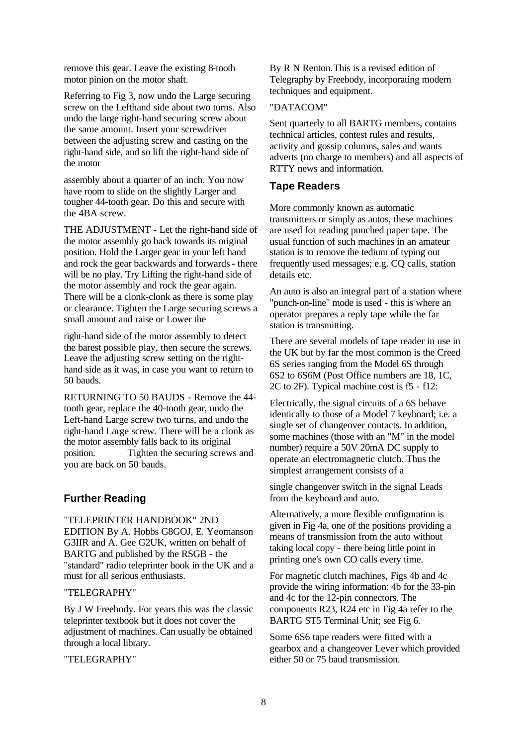remove this gear. Leave the existing 8-tooth motor pinion on the motor shaft.

Referring to Fig 3, now undo the Large securing screw on the Lefthand side about two turns. Also undo the large right-hand securing screw about the same amount. Insert your screwdriver between the adjusting screw and casting on the right-hand side, and so lift the right-hand side of the motor

assembly about a quarter of an inch. You now have room to slide on the slightly Larger and tougher 44-tooth gear. Do this and secure with the 4BA screw.

THE ADJUSTMENT - Let the right-hand side of the motor assembly go back towards its original position. Hold the Larger gear in your left hand and rock the gear backwards and forwards - there will be no play. Try Lifting the right-hand side of the motor assembly and rock the gear again. There will be a clonk-clonk as there is some play or clearance. Tighten the Large securing screws a small amount and raise or Lower the

right-hand side of the motor assembly to detect the barest possible play, then secure the screws. Leave the adjusting screw setting on the righthand side as it was, in case you want to return to 50 bauds.

RETURNING TO 50 BAUDS - Remove the 44 tooth gear, replace the 40-tooth gear, undo the Left-hand Large screw two turns, and undo the right-hand Large screw. There will be a clonk as the motor assembly falls back to its original position. Tighten the securing screws and you are back on 50 bauds.

# **Further Reading**

"TELEPRINTER HANDBOOK" 2ND EDITION By A. Hobbs G8GOJ, E. Yeomanson G3IIR and A. Gee G2UK, written on behalf of BARTG and published by the RSGB - the "standard" radio teleprinter book in the UK and a must for all serious enthusiasts.

#### "TELEGRAPHY"

By J W Freebody. For years this was the classic teleprinter textbook but it does not cover the adjustment of machines. Can usually be obtained through a local library.

"TELEGRAPHY"

By R N Renton.This is a revised edition of Telegraphy by Freebody, incorporating modern techniques and equipment.

#### "DATACOM"

Sent quarterly to all BARTG members, contains technical articles, contest rules and results, activity and gossip columns, sales and wants adverts (no charge to members) and all aspects of RTTY news and information.

# **Tape Readers**

More commonly known as automatic transmitters or simply as autos, these machines are used for reading punched paper tape. The usual function of such machines in an amateur station is to remove the tedium of typing out frequently used messages; e.g. CQ calls, station details etc.

An auto is also an integral part of a station where "punch-on-line" mode is used - this is where an operator prepares a reply tape while the far station is transmitting.

There are several models of tape reader in use in the UK but by far the most common is the Creed 6S series ranging from the Model 6S through 6S2 to 6S6M (Post Office numbers are 18, 1C, 2C to 2F). Typical machine cost is f5 - f12:

Electrically, the signal circuits of a 6S behave identically to those of a Model 7 keyboard; i.e. a single set of changeover contacts. In addition, some machines (those with an "M" in the model number) require a 50V 20mA DC supply to operate an electromagnetic clutch. Thus the simplest arrangement consists of a

single changeover switch in the signal Leads from the keyboard and auto.

Alternatively, a more flexible configuration is given in Fig 4a, one of the positions providing a means of transmission from the auto without taking local copy - there being little point in printing one's own CO calls every time.

For magnetic clutch machines, Figs 4b and 4c provide the wiring information: 4b for the 33-pin and 4c for the 12-pin connectors. The components R23, R24 etc in Fig 4a refer to the BARTG ST5 Terminal Unit; see Fig 6.

Some 6S6 tape readers were fitted with a gearbox and a changeover Lever which provided either 50 or 75 baud transmission.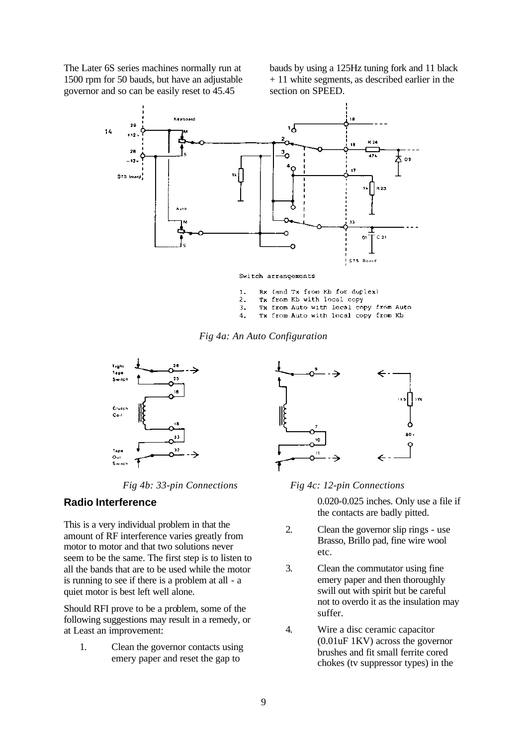The Later 6S series machines normally run at 1500 rpm for 50 bauds, but have an adjustable governor and so can be easily reset to 45.45

bauds by using a 125Hz tuning fork and 11 black + 11 white segments, as described earlier in the section on SPEED.



Switch arrangements

- Rx (and Tx from Kb for duplex)  $1.$
- Tx from Kb with local copy  $\mathcal{P}$
- Tx from Auto with local copy from Auto 3.
- $\Delta$ . Tx from Auto with local copy from Kb





*Fig 4b: 33-pin Connections Fig 4c: 12-pin Connections*

# **Radio Interference**

This is a very individual problem in that the amount of RF interference varies greatly from motor to motor and that two solutions never seem to be the same. The first step is to listen to all the bands that are to be used while the motor is running to see if there is a problem at all - a quiet motor is best left well alone.

Should RFI prove to be a problem, some of the following suggestions may result in a remedy, or at Least an improvement:

1. Clean the governor contacts using emery paper and reset the gap to



0.020-0.025 inches. Only use a file if the contacts are badly pitted.

- 2. Clean the governor slip rings use Brasso, Brillo pad, fine wire wool etc.
- 3. Clean the commutator using fine emery paper and then thoroughly swill out with spirit but be careful not to overdo it as the insulation may suffer.
- 4. Wire a disc ceramic capacitor (0.01uF 1KV) across the governor brushes and fit small ferrite cored chokes (tv suppressor types) in the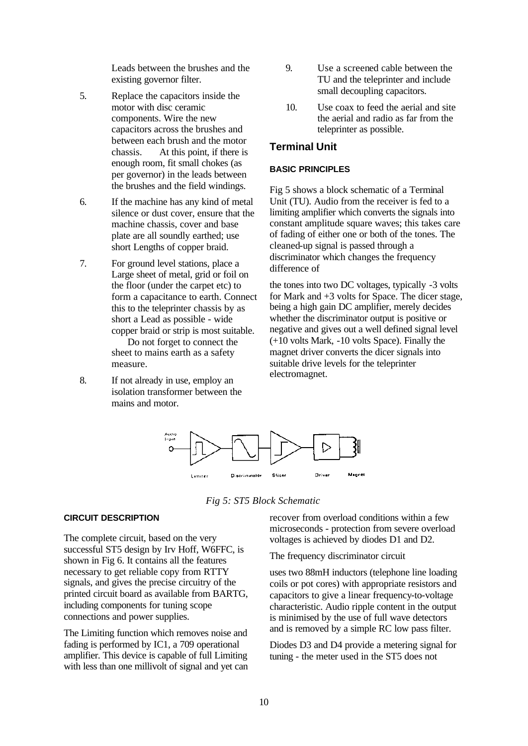Leads between the brushes and the existing governor filter.

- 5. Replace the capacitors inside the motor with disc ceramic components. Wire the new capacitors across the brushes and between each brush and the motor chassis. At this point, if there is enough room, fit small chokes (as per governor) in the leads between the brushes and the field windings.
- 6. If the machine has any kind of metal silence or dust cover, ensure that the machine chassis, cover and base plate are all soundly earthed; use short Lengths of copper braid.
- 7. For ground level stations, place a Large sheet of metal, grid or foil on the floor (under the carpet etc) to form a capacitance to earth. Connect this to the teleprinter chassis by as short a Lead as possible - wide copper braid or strip is most suitable. Do not forget to connect the sheet to mains earth as a safety measure.
- 8. If not already in use, employ an isolation transformer between the mains and motor.
- 9. Use a screened cable between the TU and the teleprinter and include small decoupling capacitors.
- 10. Use coax to feed the aerial and site the aerial and radio as far from the teleprinter as possible.

# **Terminal Unit**

#### **BASIC PRINCIPLES**

Fig 5 shows a block schematic of a Terminal Unit (TU). Audio from the receiver is fed to a limiting amplifier which converts the signals into constant amplitude square waves; this takes care of fading of either one or both of the tones. The cleaned-up signal is passed through a discriminator which changes the frequency difference of

the tones into two DC voltages, typically -3 volts for Mark and +3 volts for Space. The dicer stage, being a high gain DC amplifier, merely decides whether the discriminator output is positive or negative and gives out a well defined signal level (+10 volts Mark, -10 volts Space). Finally the magnet driver converts the dicer signals into suitable drive levels for the teleprinter electromagnet.



*Fig 5: ST5 Block Schematic*

#### **CIRCUIT DESCRIPTION**

The complete circuit, based on the very successful ST5 design by Irv Hoff, W6FFC, is shown in Fig 6. It contains all the features necessary to get reliable copy from RTTY signals, and gives the precise circuitry of the printed circuit board as available from BARTG, including components for tuning scope connections and power supplies.

The Limiting function which removes noise and fading is performed by IC1, a 709 operational amplifier. This device is capable of full Limiting with less than one millivolt of signal and yet can recover from overload conditions within a few microseconds - protection from severe overload voltages is achieved by diodes D1 and D2.

The frequency discriminator circuit

uses two 88mH inductors (telephone line loading coils or pot cores) with appropriate resistors and capacitors to give a linear frequency-to-voltage characteristic. Audio ripple content in the output is minimised by the use of full wave detectors and is removed by a simple RC low pass filter.

Diodes D3 and D4 provide a metering signal for tuning - the meter used in the ST5 does not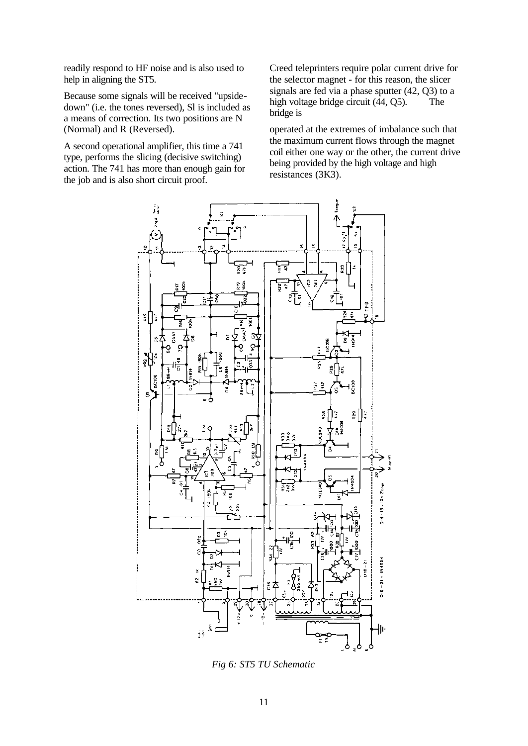readily respond to HF noise and is also used to help in aligning the ST5.

Because some signals will be received "upsidedown" (i.e. the tones reversed), Sl is included as a means of correction. Its two positions are N (Normal) and R (Reversed).

A second operational amplifier, this time a 741 type, performs the slicing (decisive switching) action. The 741 has more than enough gain for the job and is also short circuit proof.

Creed teleprinters require polar current drive for the selector magnet - for this reason, the slicer signals are fed via a phase sputter (42, Q3) to a high voltage bridge circuit (44, Q5). The bridge is

operated at the extremes of imbalance such that the maximum current flows through the magnet coil either one way or the other, the current drive being provided by the high voltage and high resistances (3K3).



*Fig 6: ST5 TU Schematic*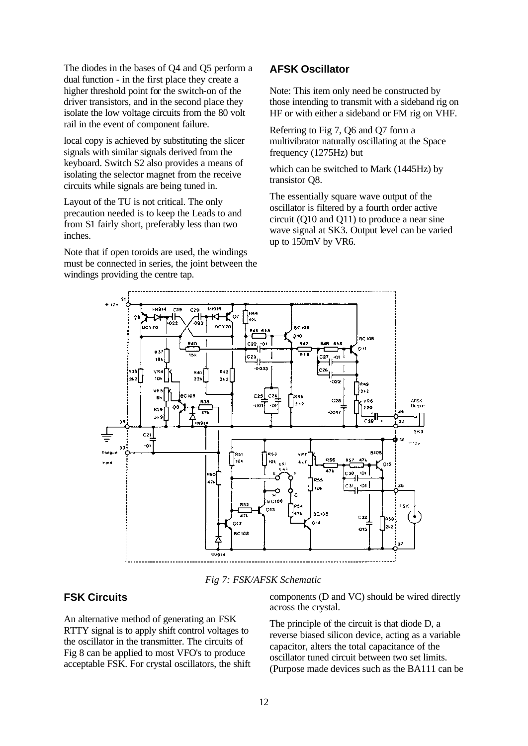The diodes in the bases of Q4 and Q5 perform a dual function - in the first place they create a higher threshold point for the switch-on of the driver transistors, and in the second place they isolate the low voltage circuits from the 80 volt rail in the event of component failure.

local copy is achieved by substituting the slicer signals with similar signals derived from the keyboard. Switch S2 also provides a means of isolating the selector magnet from the receive circuits while signals are being tuned in.

Layout of the TU is not critical. The only precaution needed is to keep the Leads to and from S1 fairly short, preferably less than two inches.

Note that if open toroids are used, the windings must be connected in series, the joint between the windings providing the centre tap.

# **AFSK Oscillator**

Note: This item only need be constructed by those intending to transmit with a sideband rig on HF or with either a sideband or FM rig on VHF.

Referring to Fig 7, Q6 and Q7 form a multivibrator naturally oscillating at the Space frequency (1275Hz) but

which can be switched to Mark (1445Hz) by transistor Q8.

The essentially square wave output of the oscillator is filtered by a fourth order active circuit (Q10 and Q11) to produce a near sine wave signal at SK3. Output level can be varied up to 150mV by VR6.



*Fig 7: FSK/AFSK Schematic*

# **FSK Circuits**

An alternative method of generating an FSK RTTY signal is to apply shift control voltages to the oscillator in the transmitter. The circuits of Fig 8 can be applied to most VFO's to produce acceptable FSK. For crystal oscillators, the shift components (D and VC) should be wired directly across the crystal.

The principle of the circuit is that diode D, a reverse biased silicon device, acting as a variable capacitor, alters the total capacitance of the oscillator tuned circuit between two set limits. (Purpose made devices such as the BA111 can be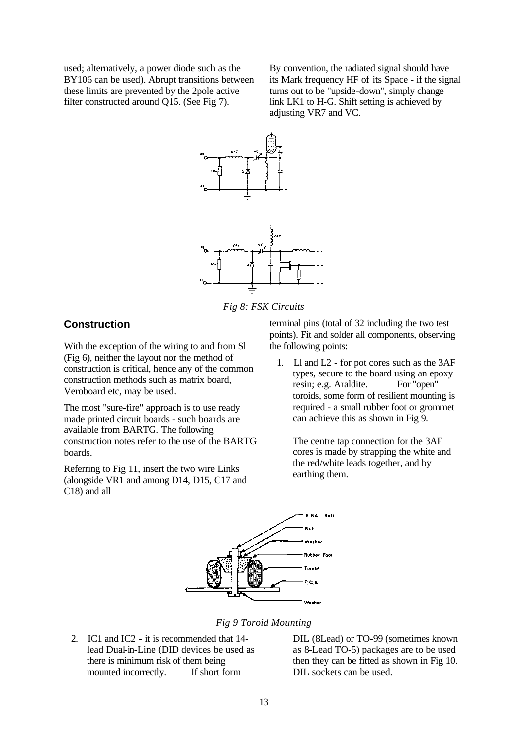used; alternatively, a power diode such as the BY106 can be used). Abrupt transitions between these limits are prevented by the 2pole active filter constructed around Q15. (See Fig 7).

By convention, the radiated signal should have its Mark frequency HF of its Space - if the signal turns out to be "upside-down", simply change link LK1 to H-G. Shift setting is achieved by adjusting VR7 and VC.



*Fig 8: FSK Circuits*

# **Construction**

With the exception of the wiring to and from Sl (Fig 6), neither the layout nor the method of construction is critical, hence any of the common construction methods such as matrix board, Veroboard etc, may be used.

The most "sure-fire" approach is to use ready made printed circuit boards - such boards are available from BARTG. The following construction notes refer to the use of the BARTG boards.

Referring to Fig 11, insert the two wire Links (alongside VR1 and among D14, D15, C17 and C18) and all

terminal pins (total of 32 including the two test points). Fit and solder all components, observing the following points:

1. Ll and L2 - for pot cores such as the 3AF types, secure to the board using an epoxy resin; e.g. Araldite. For "open" toroids, some form of resilient mounting is required - a small rubber foot or grommet can achieve this as shown in Fig 9.

The centre tap connection for the 3AF cores is made by strapping the white and the red/white leads together, and by earthing them.



*Fig 9 Toroid Mounting*

2. IC1 and IC2 - it is recommended that 14 lead Dual-in-Line (DID devices be used as there is minimum risk of them being mounted incorrectly. If short form

DIL (8Lead) or TO-99 (sometimes known as 8-Lead TO-5) packages are to be used then they can be fitted as shown in Fig 10. DIL sockets can be used.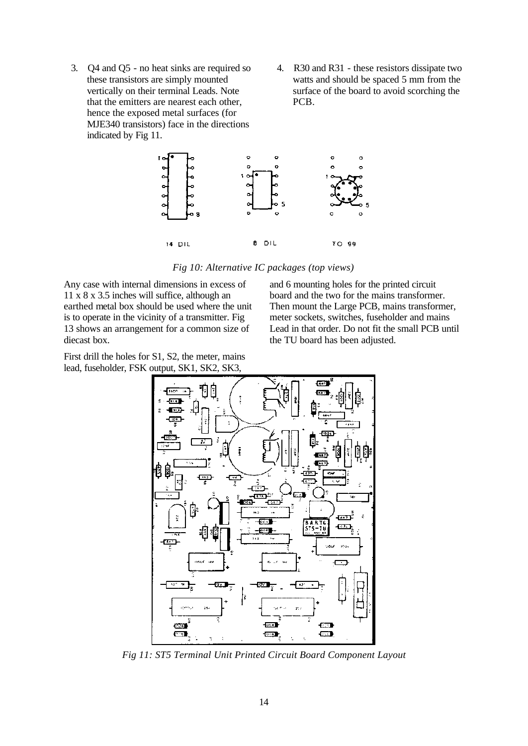- 3. Q4 and Q5 no heat sinks are required so these transistors are simply mounted vertically on their terminal Leads. Note that the emitters are nearest each other, hence the exposed metal surfaces (for MJE340 transistors) face in the directions indicated by Fig 11.
- 4. R30 and R31 these resistors dissipate two watts and should be spaced 5 mm from the surface of the board to avoid scorching the PCB.



*Fig 10: Alternative IC packages (top views)*

Any case with internal dimensions in excess of 11 x 8 x 3.5 inches will suffice, although an earthed metal box should be used where the unit is to operate in the vicinity of a transmitter. Fig 13 shows an arrangement for a common size of diecast box.

First drill the holes for S1, S2, the meter, mains lead, fuseholder, FSK output, SK1, SK2, SK3,

and 6 mounting holes for the printed circuit board and the two for the mains transformer. Then mount the Large PCB, mains transformer, meter sockets, switches, fuseholder and mains Lead in that order. Do not fit the small PCB until the TU board has been adjusted.



*Fig 11: ST5 Terminal Unit Printed Circuit Board Component Layout*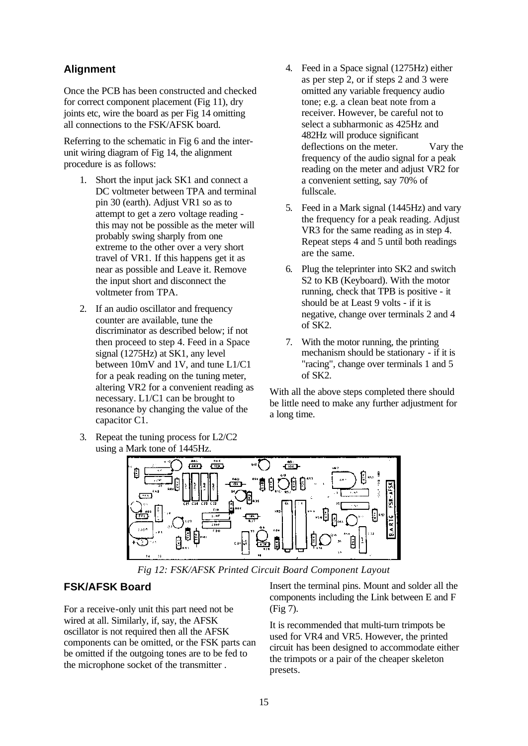# **Alignment**

Once the PCB has been constructed and checked for correct component placement (Fig 11), dry joints etc, wire the board as per Fig 14 omitting all connections to the FSK/AFSK board.

Referring to the schematic in Fig 6 and the interunit wiring diagram of Fig 14, the alignment procedure is as follows:

- 1. Short the input jack SK1 and connect a DC voltmeter between TPA and terminal pin 30 (earth). Adjust VR1 so as to attempt to get a zero voltage reading this may not be possible as the meter will probably swing sharply from one extreme to the other over a very short travel of VR1. If this happens get it as near as possible and Leave it. Remove the input short and disconnect the voltmeter from TPA.
- 2. If an audio oscillator and frequency counter are available, tune the discriminator as described below; if not then proceed to step 4. Feed in a Space signal (1275Hz) at SK1, any level between 10mV and 1V, and tune L1/C1 for a peak reading on the tuning meter, altering VR2 for a convenient reading as necessary. L1/C1 can be brought to resonance by changing the value of the capacitor C1.
- 3. Repeat the tuning process for L2/C2 using a Mark tone of 1445Hz.
- 4. Feed in a Space signal (1275Hz) either as per step 2, or if steps 2 and 3 were omitted any variable frequency audio tone; e.g. a clean beat note from a receiver. However, be careful not to select a subharmonic as 425Hz and 482Hz will produce significant deflections on the meter. Vary the frequency of the audio signal for a peak reading on the meter and adjust VR2 for a convenient setting, say 70% of fullscale.
- 5. Feed in a Mark signal (1445Hz) and vary the frequency for a peak reading. Adjust VR3 for the same reading as in step 4. Repeat steps 4 and 5 until both readings are the same.
- 6. Plug the teleprinter into SK2 and switch S2 to KB (Keyboard). With the motor running, check that TPB is positive - it should be at Least 9 volts - if it is negative, change over terminals 2 and 4 of SK2.
- 7. With the motor running, the printing mechanism should be stationary - if it is "racing", change over terminals 1 and 5 of SK2.

With all the above steps completed there should be little need to make any further adjustment for a long time.



*Fig 12: FSK/AFSK Printed Circuit Board Component Layout*

# **FSK/AFSK Board**

For a receive-only unit this part need not be wired at all. Similarly, if, say, the AFSK oscillator is not required then all the AFSK components can be omitted, or the FSK parts can be omitted if the outgoing tones are to be fed to the microphone socket of the transmitter .

Insert the terminal pins. Mount and solder all the components including the Link between E and F (Fig 7).

It is recommended that multi-turn trimpots be used for VR4 and VR5. However, the printed circuit has been designed to accommodate either the trimpots or a pair of the cheaper skeleton presets.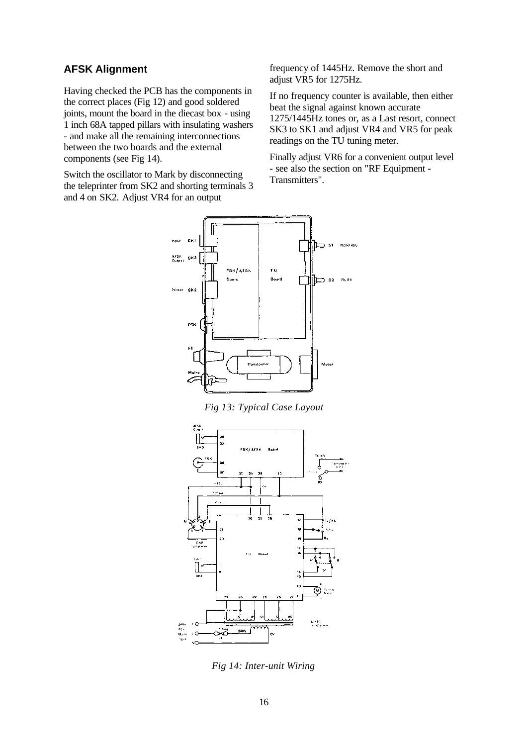# **AFSK Alignment**

Having checked the PCB has the components in the correct places (Fig 12) and good soldered joints, mount the board in the diecast box - using 1 inch 68A tapped pillars with insulating washers - and make all the remaining interconnections between the two boards and the external components (see Fig 14).

Switch the oscillator to Mark by disconnecting the teleprinter from SK2 and shorting terminals 3 and 4 on SK2. Adjust VR4 for an output

frequency of 1445Hz. Remove the short and adjust VR5 for 1275Hz.

If no frequency counter is available, then either beat the signal against known accurate 1275/1445Hz tones or, as a Last resort, connect SK3 to SK1 and adjust VR4 and VR5 for peak readings on the TU tuning meter.

Finally adjust VR6 for a convenient output level - see also the section on "RF Equipment - Transmitters".



*Fig 13: Typical Case Layout*



*Fig 14: Inter-unit Wiring*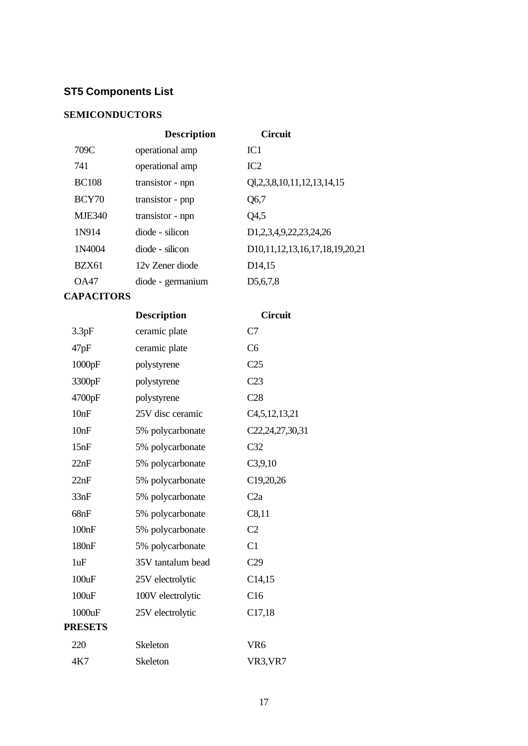# **ST5 Components List**

# **SEMICONDUCTORS**

|               | <b>Description</b> | <b>Circuit</b>                                       |
|---------------|--------------------|------------------------------------------------------|
| 709C          | operational amp    | IC <sub>1</sub>                                      |
| 741           | operational amp    | IC2                                                  |
| <b>BC108</b>  | transistor - npn   | Q1,2,3,8,10,11,12,13,14,15                           |
| BCY70         | transistor - pnp   | Q6,7                                                 |
| <b>MJE340</b> | transistor - npn   | Q4,5                                                 |
| 1N914         | diode - silicon    | D1,2,3,4,9,22,23,24,26                               |
| 1N4004        | diode - silicon    | D <sub>10</sub> , 11, 12, 13, 16, 17, 18, 19, 20, 21 |
| <b>BZX61</b>  | 12y Zener diode    | D <sub>14</sub> ,15                                  |
| OA47          | diode - germanium  | D <sub>5</sub> ,6,7,8                                |
|               |                    |                                                      |

# **CAPACITORS**

|                | <b>Description</b> | <b>Circuit</b>    |
|----------------|--------------------|-------------------|
| 3.3pF          | ceramic plate      | C7                |
| 47pF           | ceramic plate      | C <sub>6</sub>    |
| 1000pF         | polystyrene        | C <sub>25</sub>   |
| 3300pF         | polystyrene        | C <sub>23</sub>   |
| 4700pF         | polystyrene        | C28               |
| 10nF           | 25V disc ceramic   | C4, 5, 12, 13, 21 |
| 10nF           | 5% polycarbonate   | C22,24,27,30,31   |
| 15nF           | 5% polycarbonate   | C <sub>32</sub>   |
| 22nF           | 5% polycarbonate   | C3,9,10           |
| 22nF           | 5% polycarbonate   | C19,20,26         |
| 33nF           | 5% polycarbonate   | C2a               |
| 68nF           | 5% polycarbonate   | C8,11             |
| 100nF          | 5% polycarbonate   | C <sub>2</sub>    |
| 180nF          | 5% polycarbonate   | C1                |
| 1uF            | 35V tantalum bead  | C29               |
| 100uF          | 25V electrolytic   | C14,15            |
| 100uF          | 100V electrolytic  | C16               |
| 1000uF         | 25V electrolytic   | C17,18            |
| <b>PRESETS</b> |                    |                   |
| 220            | Skeleton           | VR <sub>6</sub>   |
| 4K7            | <b>Skeleton</b>    | VR3, VR7          |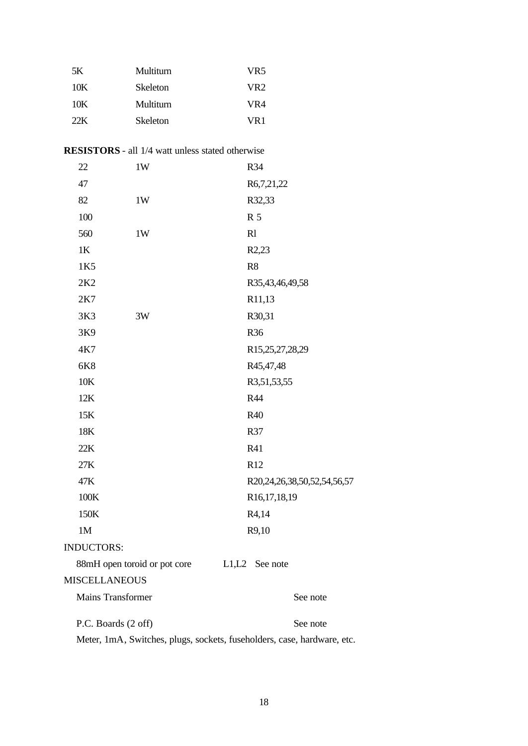| 5K  | Multiturn       | VR5             |
|-----|-----------------|-----------------|
| 10K | <b>Skeleton</b> | VR <sub>2</sub> |
| 10K | Multiturn       | VR4             |
| 22K | <b>Skeleton</b> | VR1             |

| 22                       | 1W                           | R34                         |
|--------------------------|------------------------------|-----------------------------|
| 47                       |                              | R6,7,21,22                  |
| 82                       | 1W                           | R32,33                      |
| 100                      |                              | R 5                         |
| 560                      | 1W                           | R1                          |
| 1K                       |                              | R <sub>2</sub> ,23          |
| 1K5                      |                              | R <sub>8</sub>              |
| 2K <sub>2</sub>          |                              | R35,43,46,49,58             |
| 2K7                      |                              | R11,13                      |
| 3K3                      | 3W                           | R30,31                      |
| 3K9                      |                              | R36                         |
| 4K7                      |                              | R15,25,27,28,29             |
| 6K8                      |                              | R45,47,48                   |
| 10K                      |                              | R3,51,53,55                 |
| 12K                      |                              | R44                         |
| 15K                      |                              | R40                         |
| 18K                      |                              | R37                         |
| 22K                      |                              | R41                         |
| 27K                      |                              | R12                         |
| 47K                      |                              | R20,24,26,38,50,52,54,56,57 |
| 100K                     |                              | R16,17,18,19                |
| 150K                     |                              | R4,14                       |
| 1M                       |                              | R9,10                       |
| <b>INDUCTORS:</b>        |                              |                             |
|                          | 88mH open toroid or pot core | L1,L2 See note              |
| <b>MISCELLANEOUS</b>     |                              |                             |
| <b>Mains Transformer</b> |                              | See note                    |
| P.C. Boards (2 off)      |                              | See note                    |

Meter, 1mA, Switches, plugs, sockets, fuseholders, case, hardware, etc.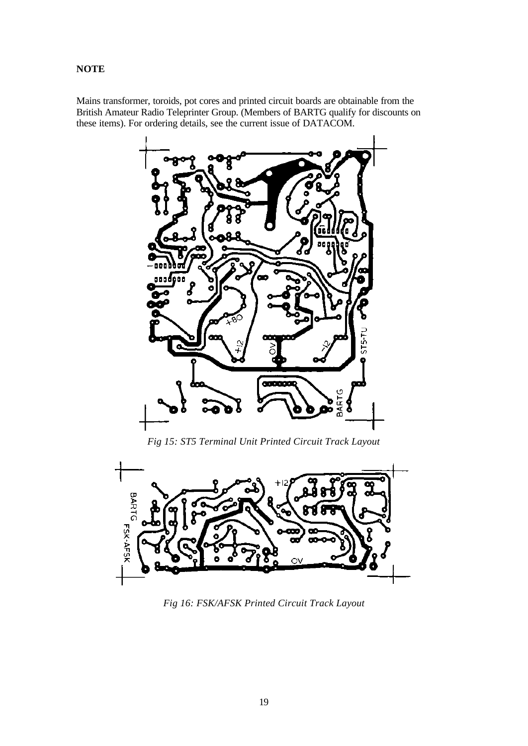# **NOTE**

Mains transformer, toroids, pot cores and printed circuit boards are obtainable from the British Amateur Radio Teleprinter Group. (Members of BARTG qualify for discounts on these items). For ordering details, see the current issue of DATACOM.



*Fig 15: ST5 Terminal Unit Printed Circuit Track Layout*



*Fig 16: FSK/AFSK Printed Circuit Track Layout*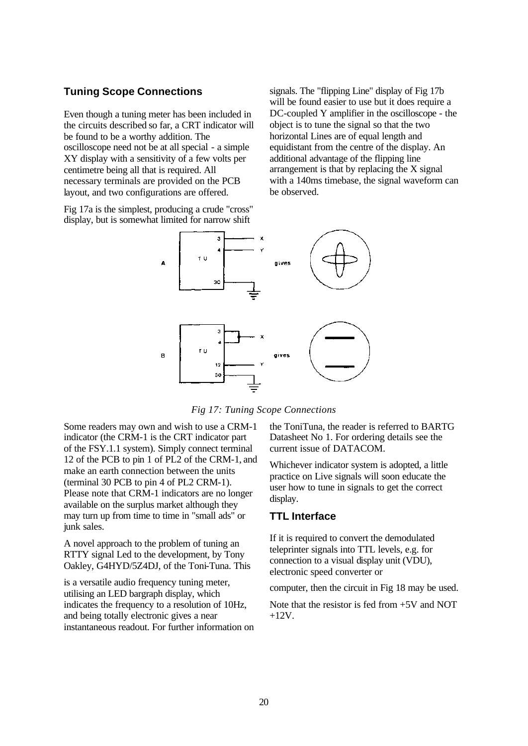# **Tuning Scope Connections**

Even though a tuning meter has been included in the circuits described so far, a CRT indicator will be found to be a worthy addition. The oscilloscope need not be at all special - a simple XY display with a sensitivity of a few volts per centimetre being all that is required. All necessary terminals are provided on the PCB layout, and two configurations are offered.

Fig 17a is the simplest, producing a crude "cross" display, but is somewhat limited for narrow shift

signals. The "flipping Line" display of Fig 17b will be found easier to use but it does require a DC-coupled Y amplifier in the oscilloscope - the object is to tune the signal so that the two horizontal Lines are of equal length and equidistant from the centre of the display. An additional advantage of the flipping line arrangement is that by replacing the X signal with a 140ms timebase, the signal waveform can be observed.



*Fig 17: Tuning Scope Connections*

Some readers may own and wish to use a CRM-1 indicator (the CRM-1 is the CRT indicator part of the FSY.1.1 system). Simply connect terminal 12 of the PCB to pin 1 of PL2 of the CRM-1, and make an earth connection between the units (terminal 30 PCB to pin 4 of PL2 CRM-1). Please note that CRM-1 indicators are no longer available on the surplus market although they may turn up from time to time in "small ads" or junk sales.

A novel approach to the problem of tuning an RTTY signal Led to the development, by Tony Oakley, G4HYD/5Z4DJ, of the Toni-Tuna. This

is a versatile audio frequency tuning meter, utilising an LED bargraph display, which indicates the frequency to a resolution of 10Hz, and being totally electronic gives a near instantaneous readout. For further information on the ToniTuna, the reader is referred to BARTG Datasheet No 1. For ordering details see the current issue of DATACOM.

Whichever indicator system is adopted, a little practice on Live signals will soon educate the user how to tune in signals to get the correct display.

# **TTL Interface**

If it is required to convert the demodulated teleprinter signals into TTL levels, e.g. for connection to a visual display unit (VDU), electronic speed converter or

computer, then the circuit in Fig 18 may be used.

Note that the resistor is fed from +5V and NOT +12V.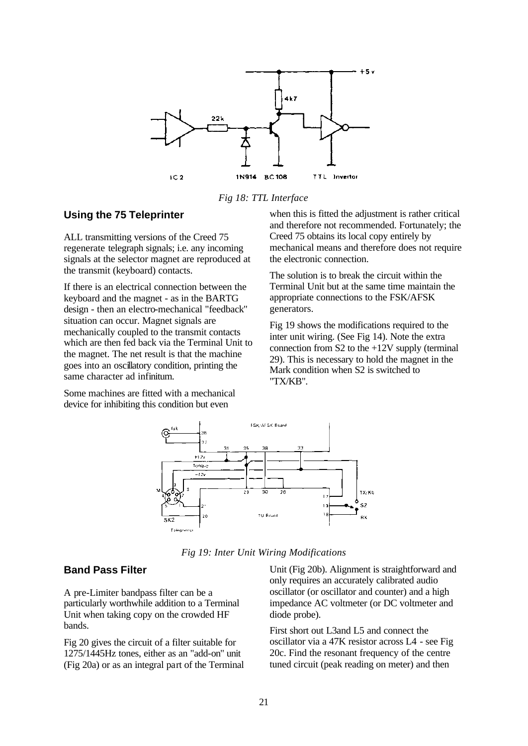

*Fig 18: TTL Interface*

#### **Using the 75 Teleprinter**

ALL transmitting versions of the Creed 75 regenerate telegraph signals; i.e. any incoming signals at the selector magnet are reproduced at the transmit (keyboard) contacts.

If there is an electrical connection between the keyboard and the magnet - as in the BARTG design - then an electro-mechanical "feedback" situation can occur. Magnet signals are mechanically coupled to the transmit contacts which are then fed back via the Terminal Unit to the magnet. The net result is that the machine goes into an oscillatory condition, printing the same character ad infinitum.

Some machines are fitted with a mechanical device for inhibiting this condition but even

when this is fitted the adjustment is rather critical and therefore not recommended. Fortunately; the Creed 75 obtains its local copy entirely by mechanical means and therefore does not require the electronic connection.

The solution is to break the circuit within the Terminal Unit but at the same time maintain the appropriate connections to the FSK/AFSK generators.

Fig 19 shows the modifications required to the inter unit wiring. (See Fig 14). Note the extra connection from  $S2$  to the  $+12V$  supply (terminal 29). This is necessary to hold the magnet in the Mark condition when S2 is switched to "TX/KB".



*Fig 19: Inter Unit Wiring Modifications*

#### **Band Pass Filter**

A pre-Limiter bandpass filter can be a particularly worthwhile addition to a Terminal Unit when taking copy on the crowded HF bands.

Fig 20 gives the circuit of a filter suitable for 1275/1445Hz tones, either as an "add-on" unit (Fig 20a) or as an integral part of the Terminal Unit (Fig 20b). Alignment is straightforward and only requires an accurately calibrated audio oscillator (or oscillator and counter) and a high impedance AC voltmeter (or DC voltmeter and diode probe).

First short out L3and L5 and connect the oscillator via a 47K resistor across L4 - see Fig 20c. Find the resonant frequency of the centre tuned circuit (peak reading on meter) and then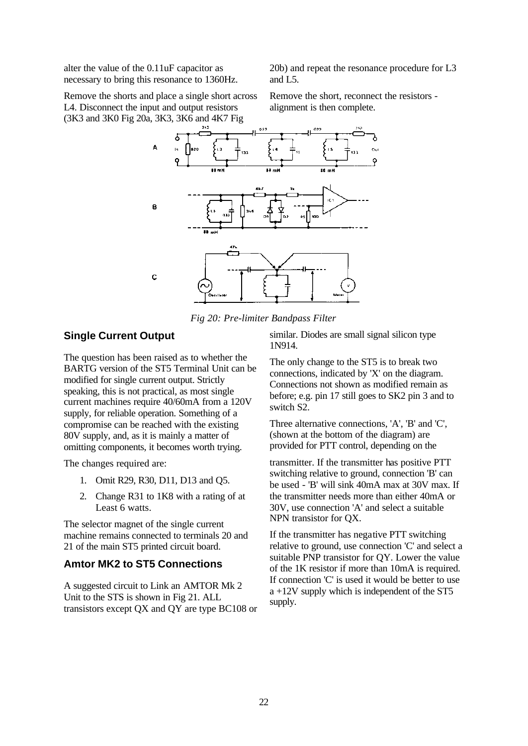alter the value of the 0.11uF capacitor as necessary to bring this resonance to 1360Hz.

Remove the shorts and place a single short across L4. Disconnect the input and output resistors (3K3 and 3K0 Fig 20a, 3K3, 3K6 and 4K7 Fig

20b) and repeat the resonance procedure for L3 and L5.

Remove the short, reconnect the resistors alignment is then complete.



*Fig 20: Pre-limiter Bandpass Filter*

# **Single Current Output**

The question has been raised as to whether the BARTG version of the ST5 Terminal Unit can be modified for single current output. Strictly speaking, this is not practical, as most single current machines require 40/60mA from a 120V supply, for reliable operation. Something of a compromise can be reached with the existing 80V supply, and, as it is mainly a matter of omitting components, it becomes worth trying.

The changes required are:

- 1. Omit R29, R30, D11, D13 and Q5.
- 2. Change R31 to 1K8 with a rating of at Least 6 watts.

The selector magnet of the single current machine remains connected to terminals 20 and 21 of the main ST5 printed circuit board.

# **Amtor MK2 to ST5 Connections**

A suggested circuit to Link an AMTOR Mk 2 Unit to the STS is shown in Fig 21. ALL transistors except QX and QY are type BC108 or similar. Diodes are small signal silicon type 1N914.

The only change to the ST5 is to break two connections, indicated by 'X' on the diagram. Connections not shown as modified remain as before; e.g. pin 17 still goes to SK2 pin 3 and to switch S2.

Three alternative connections, 'A', 'B' and 'C', (shown at the bottom of the diagram) are provided for PTT control, depending on the

transmitter. If the transmitter has positive PTT switching relative to ground, connection 'B' can be used - 'B' will sink 40mA max at 30V max. If the transmitter needs more than either 40mA or 30V, use connection 'A' and select a suitable NPN transistor for QX.

If the transmitter has negative PTT switching relative to ground, use connection 'C' and select a suitable PNP transistor for QY. Lower the value of the 1K resistor if more than 10mA is required. If connection 'C' is used it would be better to use a +12V supply which is independent of the ST5 supply.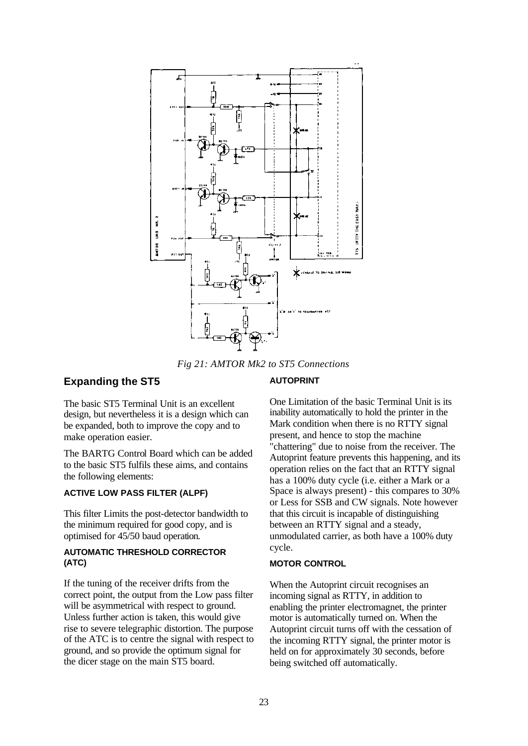

*Fig 21: AMTOR Mk2 to ST5 Connections*

# **Expanding the ST5**

#### **AUTOPRINT**

The basic ST5 Terminal Unit is an excellent design, but nevertheless it is a design which can be expanded, both to improve the copy and to make operation easier.

The BARTG Control Board which can be added to the basic ST5 fulfils these aims, and contains the following elements:

### **ACTIVE LOW PASS FILTER (ALPF)**

This filter Limits the post-detector bandwidth to the minimum required for good copy, and is optimised for 45/50 baud operation.

#### **AUTOMATIC THRESHOLD CORRECTOR (ATC)**

If the tuning of the receiver drifts from the correct point, the output from the Low pass filter will be asymmetrical with respect to ground. Unless further action is taken, this would give rise to severe telegraphic distortion. The purpose of the ATC is to centre the signal with respect to ground, and so provide the optimum signal for the dicer stage on the main ST5 board.

One Limitation of the basic Terminal Unit is its inability automatically to hold the printer in the Mark condition when there is no RTTY signal present, and hence to stop the machine "chattering" due to noise from the receiver. The Autoprint feature prevents this happening, and its operation relies on the fact that an RTTY signal has a 100% duty cycle (i.e. either a Mark or a Space is always present) - this compares to 30% or Less for SSB and CW signals. Note however that this circuit is incapable of distinguishing between an RTTY signal and a steady, unmodulated carrier, as both have a 100% duty cycle.

#### **MOTOR CONTROL**

When the Autoprint circuit recognises an incoming signal as RTTY, in addition to enabling the printer electromagnet, the printer motor is automatically turned on. When the Autoprint circuit turns off with the cessation of the incoming RTTY signal, the printer motor is held on for approximately 30 seconds, before being switched off automatically.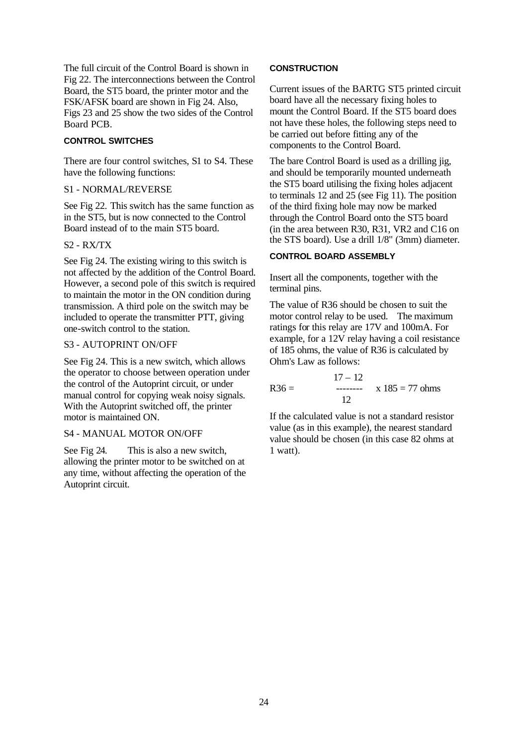The full circuit of the Control Board is shown in Fig 22. The interconnections between the Control Board, the ST5 board, the printer motor and the FSK/AFSK board are shown in Fig 24. Also, Figs 23 and 25 show the two sides of the Control Board PCB.

#### **CONTROL SWITCHES**

There are four control switches, S1 to S4. These have the following functions:

#### S1 - NORMAL/REVERSE

See Fig 22. This switch has the same function as in the ST5, but is now connected to the Control Board instead of to the main ST5 board.

#### S2 - RX/TX

See Fig 24. The existing wiring to this switch is not affected by the addition of the Control Board. However, a second pole of this switch is required to maintain the motor in the ON condition during transmission. A third pole on the switch may be included to operate the transmitter PTT, giving one-switch control to the station.

#### S3 - AUTOPRINT ON/OFF

See Fig 24. This is a new switch, which allows the operator to choose between operation under the control of the Autoprint circuit, or under manual control for copying weak noisy signals. With the Autoprint switched off, the printer motor is maintained ON.

#### S4 - MANUAL MOTOR ON/OFF

See Fig 24. This is also a new switch, allowing the printer motor to be switched on at any time, without affecting the operation of the Autoprint circuit.

#### **CONSTRUCTION**

Current issues of the BARTG ST5 printed circuit board have all the necessary fixing holes to mount the Control Board. If the ST5 board does not have these holes, the following steps need to be carried out before fitting any of the components to the Control Board.

The bare Control Board is used as a drilling jig. and should be temporarily mounted underneath the ST5 board utilising the fixing holes adjacent to terminals 12 and 25 (see Fig 11). The position of the third fixing hole may now be marked through the Control Board onto the ST5 board (in the area between R30, R31, VR2 and C16 on the STS board). Use a drill 1/8" (3mm) diameter.

#### **CONTROL BOARD ASSEMBLY**

Insert all the components, together with the terminal pins.

The value of R36 should be chosen to suit the motor control relay to be used. The maximum ratings for this relay are 17V and 100mA. For example, for a 12V relay having a coil resistance of 185 ohms, the value of R36 is calculated by Ohm's Law as follows:

 $17 - 12$  $R36 =$  --------  $x 185 = 77$  ohms 12

If the calculated value is not a standard resistor value (as in this example), the nearest standard value should be chosen (in this case 82 ohms at 1 watt).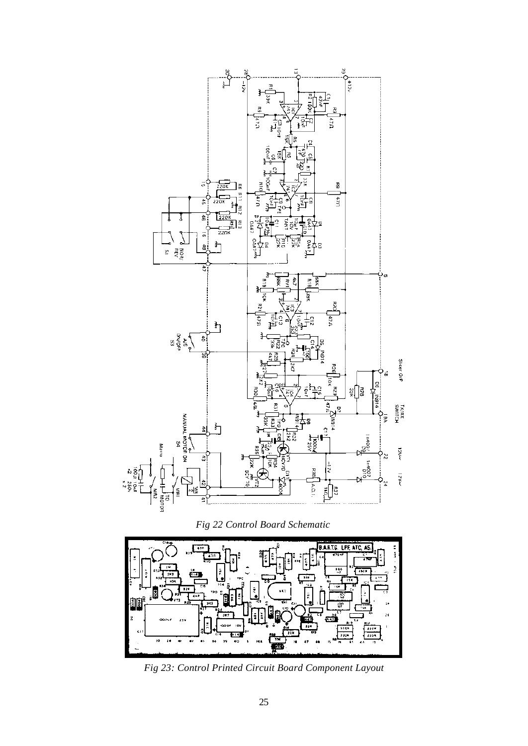

*Fig 22 Control Board Schematic*



*Fig 23: Control Printed Circuit Board Component Layout*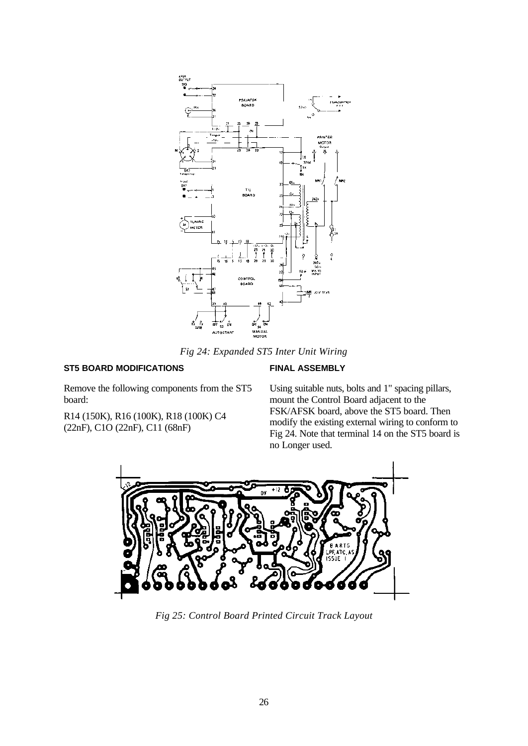

*Fig 24: Expanded ST5 Inter Unit Wiring*

#### **ST5 BOARD MODIFICATIONS**

#### **FINAL ASSEMBLY**

Remove the following components from the ST5 board:

R14 (150K), R16 (100K), R18 (100K) C4 (22nF), C1O (22nF), C11 (68nF)

Using suitable nuts, bolts and 1" spacing pillars, mount the Control Board adjacent to the FSK/AFSK board, above the ST5 board. Then modify the existing external wiring to conform to Fig 24. Note that terminal 14 on the ST5 board is no Longer used.



*Fig 25: Control Board Printed Circuit Track Layout*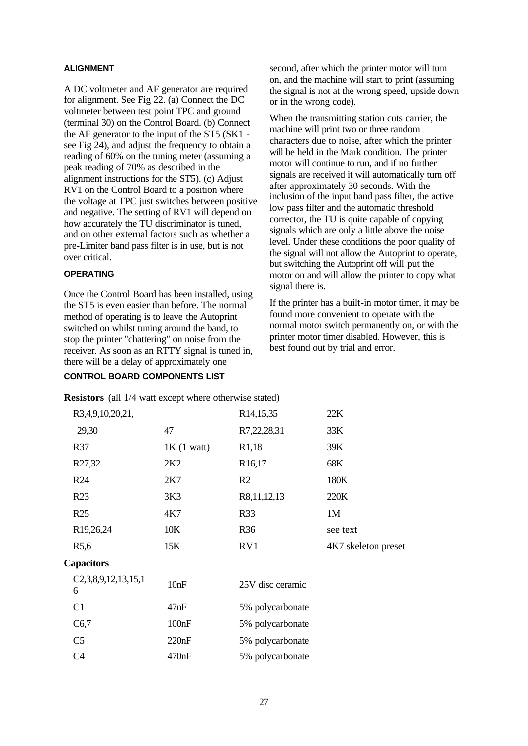#### **ALIGNMENT**

A DC voltmeter and AF generator are required for alignment. See Fig 22. (a) Connect the DC voltmeter between test point TPC and ground (terminal 30) on the Control Board. (b) Connect the AF generator to the input of the ST5 (SK1 see Fig 24), and adjust the frequency to obtain a reading of 60% on the tuning meter (assuming a peak reading of 70% as described in the alignment instructions for the ST5). (c) Adjust RV1 on the Control Board to a position where the voltage at TPC just switches between positive and negative. The setting of RV1 will depend on how accurately the TU discriminator is tuned, and on other external factors such as whether a pre-Limiter band pass filter is in use, but is not over critical.

#### **OPERATING**

Once the Control Board has been installed, using the ST5 is even easier than before. The normal method of operating is to leave the Autoprint switched on whilst tuning around the band, to stop the printer "chattering" on noise from the receiver. As soon as an RTTY signal is tuned in, there will be a delay of approximately one

#### **CONTROL BOARD COMPONENTS LIST**

second, after which the printer motor will turn on, and the machine will start to print (assuming the signal is not at the wrong speed, upside down or in the wrong code).

When the transmitting station cuts carrier, the machine will print two or three random characters due to noise, after which the printer will be held in the Mark condition. The printer motor will continue to run, and if no further signals are received it will automatically turn off after approximately 30 seconds. With the inclusion of the input band pass filter, the active low pass filter and the automatic threshold corrector, the TU is quite capable of copying signals which are only a little above the noise level. Under these conditions the poor quality of the signal will not allow the Autoprint to operate, but switching the Autoprint off will put the motor on and will allow the printer to copy what signal there is.

If the printer has a built-in motor timer, it may be found more convenient to operate with the normal motor switch permanently on, or with the printer motor timer disabled. However, this is best found out by trial and error.

| R3,4,9,10,20,21,         |              | R <sub>14</sub> , 15, 35 | 22K                 |
|--------------------------|--------------|--------------------------|---------------------|
| 29,30                    | 47           | R7,22,28,31              | 33K                 |
| R37                      | $1K(1$ watt) | R <sub>1</sub> ,18       | 39K                 |
| R27,32                   | 2K2          | R <sub>16</sub> ,17      | 68K                 |
| R <sub>24</sub>          | 2K7          | R <sub>2</sub>           | 180K                |
| R23                      | 3K3          | R8,11,12,13              | 220K                |
| R25                      | 4K7          | <b>R33</b>               | 1M                  |
| R19,26,24                | 10K          | <b>R36</b>               | see text            |
| R <sub>5</sub> ,6        | 15K          | RV1                      | 4K7 skeleton preset |
| <b>Capacitors</b>        |              |                          |                     |
| C2,3,8,9,12,13,15,1<br>6 | 10nF         | 25V disc ceramic         |                     |
| C1                       | 47nF         | 5% polycarbonate         |                     |
| C6,7                     | 100nF        | 5% polycarbonate         |                     |
| C <sub>5</sub>           | 220nF        | 5% polycarbonate         |                     |
| C <sub>4</sub>           | 470nF        | 5% polycarbonate         |                     |
|                          |              |                          |                     |

**Resistors** (all 1/4 watt except where otherwise stated)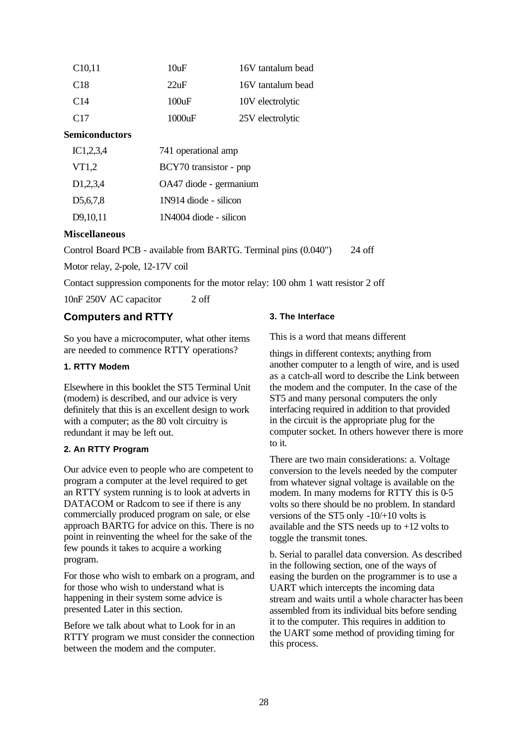| C <sub>10</sub> ,11 | 10uF    | 16V tantalum bead |
|---------------------|---------|-------------------|
| C <sub>18</sub>     | $22$ uF | 16V tantalum bead |
| C <sub>14</sub>     | 100uF   | 10V electrolytic  |
| C <sub>17</sub>     | 1000uF  | 25V electrolytic  |

#### **Semiconductors**

| IC1,2,3,4             | 741 operational amp    |
|-----------------------|------------------------|
| VT1,2                 | BCY70 transistor - pnp |
| D <sub>1</sub> ,2,3,4 | OA47 diode - germanium |
| D <sub>5</sub> ,6,7,8 | 1N914 diode - silicon  |
| D9,10,11              | 1N4004 diode - silicon |

#### **Miscellaneous**

Control Board PCB - available from BARTG. Terminal pins (0.040") 24 off

Motor relay, 2-pole, 12-17V coil

Contact suppression components for the motor relay: 100 ohm 1 watt resistor 2 off

10nF 250V AC capacitor 2 off

#### **Computers and RTTY**

So you have a microcomputer, what other items are needed to commence RTTY operations?

#### **1. RTTY Modem**

Elsewhere in this booklet the ST5 Terminal Unit (modem) is described, and our advice is very definitely that this is an excellent design to work with a computer; as the 80 volt circuitry is redundant it may be left out.

#### **2. An RTTY Program**

Our advice even to people who are competent to program a computer at the level required to get an RTTY system running is to look at adverts in DATACOM or Radcom to see if there is any commercially produced program on sale, or else approach BARTG for advice on this. There is no point in reinventing the wheel for the sake of the few pounds it takes to acquire a working program.

For those who wish to embark on a program, and for those who wish to understand what is happening in their system some advice is presented Later in this section.

Before we talk about what to Look for in an RTTY program we must consider the connection between the modem and the computer.

#### **3. The Interface**

This is a word that means different

things in different contexts; anything from another computer to a length of wire, and is used as a catch-all word to describe the Link between the modem and the computer. In the case of the ST5 and many personal computers the only interfacing required in addition to that provided in the circuit is the appropriate plug for the computer socket. In others however there is more to it.

There are two main considerations: a. Voltage conversion to the levels needed by the computer from whatever signal voltage is available on the modem. In many modems for RTTY this is 0-5 volts so there should be no problem. In standard versions of the ST5 only -10/+10 volts is available and the STS needs up to +12 volts to toggle the transmit tones.

b. Serial to parallel data conversion. As described in the following section, one of the ways of easing the burden on the programmer is to use a UART which intercepts the incoming data stream and waits until a whole character has been assembled from its individual bits before sending it to the computer. This requires in addition to the UART some method of providing timing for this process.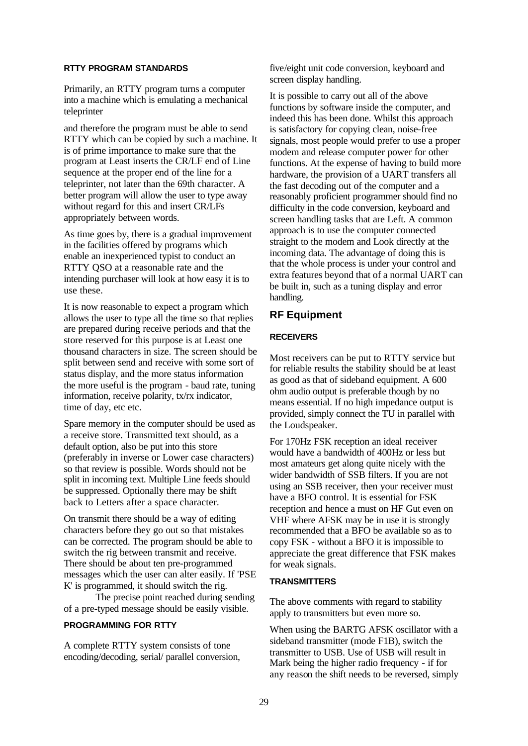#### **RTTY PROGRAM STANDARDS**

Primarily, an RTTY program turns a computer into a machine which is emulating a mechanical teleprinter

and therefore the program must be able to send RTTY which can be copied by such a machine. It is of prime importance to make sure that the program at Least inserts the CR/LF end of Line sequence at the proper end of the line for a teleprinter, not later than the 69th character. A better program will allow the user to type away without regard for this and insert CR/LFs appropriately between words.

As time goes by, there is a gradual improvement in the facilities offered by programs which enable an inexperienced typist to conduct an RTTY QSO at a reasonable rate and the intending purchaser will look at how easy it is to use these.

It is now reasonable to expect a program which allows the user to type all the time so that replies are prepared during receive periods and that the store reserved for this purpose is at Least one thousand characters in size. The screen should be split between send and receive with some sort of status display, and the more status information the more useful is the program - baud rate, tuning information, receive polarity, tx/rx indicator, time of day, etc etc.

Spare memory in the computer should be used as a receive store. Transmitted text should, as a default option, also be put into this store (preferably in inverse or Lower case characters) so that review is possible. Words should not be split in incoming text. Multiple Line feeds should be suppressed. Optionally there may be shift back to Letters after a space character.

On transmit there should be a way of editing characters before they go out so that mistakes can be corrected. The program should be able to switch the rig between transmit and receive. There should be about ten pre-programmed messages which the user can alter easily. If 'PSE K' is programmed, it should switch the rig.

The precise point reached during sending of a pre-typed message should be easily visible.

# **PROGRAMMING FOR RTTY**

A complete RTTY system consists of tone encoding/decoding, serial/ parallel conversion, five/eight unit code conversion, keyboard and screen display handling.

It is possible to carry out all of the above functions by software inside the computer, and indeed this has been done. Whilst this approach is satisfactory for copying clean, noise-free signals, most people would prefer to use a proper modem and release computer power for other functions. At the expense of having to build more hardware, the provision of a UART transfers all the fast decoding out of the computer and a reasonably proficient programmer should find no difficulty in the code conversion, keyboard and screen handling tasks that are Left. A common approach is to use the computer connected straight to the modem and Look directly at the incoming data. The advantage of doing this is that the whole process is under your control and extra features beyond that of a normal UART can be built in, such as a tuning display and error handling.

#### **RF Equipment**

#### **RECEIVERS**

Most receivers can be put to RTTY service but for reliable results the stability should be at least as good as that of sideband equipment. A 600 ohm audio output is preferable though by no means essential. If no high impedance output is provided, simply connect the TU in parallel with the Loudspeaker.

For 170Hz FSK reception an ideal receiver would have a bandwidth of 400Hz or less but most amateurs get along quite nicely with the wider bandwidth of SSB filters. If you are not using an SSB receiver, then your receiver must have a BFO control. It is essential for FSK reception and hence a must on HF Gut even on VHF where AFSK may be in use it is strongly recommended that a BFO be available so as to copy FSK - without a BFO it is impossible to appreciate the great difference that FSK makes for weak signals.

#### **TRANSMITTERS**

The above comments with regard to stability apply to transmitters but even more so.

When using the BARTG AFSK oscillator with a sideband transmitter (mode F1B), switch the transmitter to USB. Use of USB will result in Mark being the higher radio frequency - if for any reason the shift needs to be reversed, simply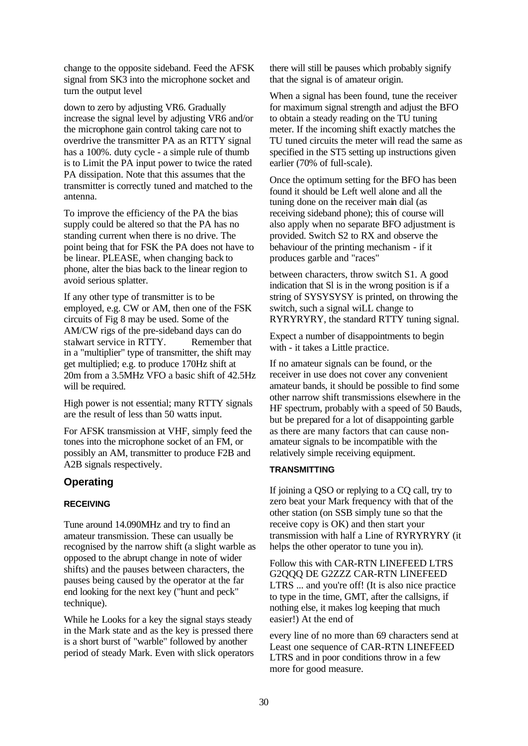change to the opposite sideband. Feed the AFSK signal from SK3 into the microphone socket and turn the output level

down to zero by adjusting VR6. Gradually increase the signal level by adjusting VR6 and/or the microphone gain control taking care not to overdrive the transmitter PA as an RTTY signal has a 100%. duty cycle - a simple rule of thumb is to Limit the PA input power to twice the rated PA dissipation. Note that this assumes that the transmitter is correctly tuned and matched to the antenna.

To improve the efficiency of the PA the bias supply could be altered so that the PA has no standing current when there is no drive. The point being that for FSK the PA does not have to be linear. PLEASE, when changing back to phone, alter the bias back to the linear region to avoid serious splatter.

If any other type of transmitter is to be employed, e.g. CW or AM, then one of the FSK circuits of Fig 8 may be used. Some of the AM/CW rigs of the pre-sideband days can do stalwart service in RTTY. Remember that in a "multiplier" type of transmitter, the shift may get multiplied; e.g. to produce 170Hz shift at 20m from a 3.5MHz VFO a basic shift of 42.5Hz will be required.

High power is not essential; many RTTY signals are the result of less than 50 watts input.

For AFSK transmission at VHF, simply feed the tones into the microphone socket of an FM, or possibly an AM, transmitter to produce F2B and A2B signals respectively.

# **Operating**

#### **RECEIVING**

Tune around 14.090MHz and try to find an amateur transmission. These can usually be recognised by the narrow shift (a slight warble as opposed to the abrupt change in note of wider shifts) and the pauses between characters, the pauses being caused by the operator at the far end looking for the next key ("hunt and peck" technique).

While he Looks for a key the signal stays steady in the Mark state and as the key is pressed there is a short burst of "warble" followed by another period of steady Mark. Even with slick operators there will still be pauses which probably signify that the signal is of amateur origin.

When a signal has been found, tune the receiver for maximum signal strength and adjust the BFO to obtain a steady reading on the TU tuning meter. If the incoming shift exactly matches the TU tuned circuits the meter will read the same as specified in the ST5 setting up instructions given earlier (70% of full-scale).

Once the optimum setting for the BFO has been found it should be Left well alone and all the tuning done on the receiver main dial (as receiving sideband phone); this of course will also apply when no separate BFO adjustment is provided. Switch S2 to RX and observe the behaviour of the printing mechanism - if it produces garble and "races"

between characters, throw switch S1. A good indication that Sl is in the wrong position is if a string of SYSYSYSY is printed, on throwing the switch, such a signal wiLL change to RYRYRYRY, the standard RTTY tuning signal.

Expect a number of disappointments to begin with - it takes a Little practice.

If no amateur signals can be found, or the receiver in use does not cover any convenient amateur bands, it should be possible to find some other narrow shift transmissions elsewhere in the HF spectrum, probably with a speed of 50 Bauds, but be prepared for a lot of disappointing garble as there are many factors that can cause nonamateur signals to be incompatible with the relatively simple receiving equipment.

#### **TRANSMITTING**

If joining a QSO or replying to a CQ call, try to zero beat your Mark frequency with that of the other station (on SSB simply tune so that the receive copy is OK) and then start your transmission with half a Line of RYRYRYRY (it helps the other operator to tune you in).

Follow this with CAR-RTN LINEFEED LTRS G2QQQ DE G2ZZZ CAR-RTN LINEFEED LTRS ... and you're off! (It is also nice practice to type in the time, GMT, after the callsigns, if nothing else, it makes log keeping that much easier!) At the end of

every line of no more than 69 characters send at Least one sequence of CAR-RTN LINEFEED LTRS and in poor conditions throw in a few more for good measure.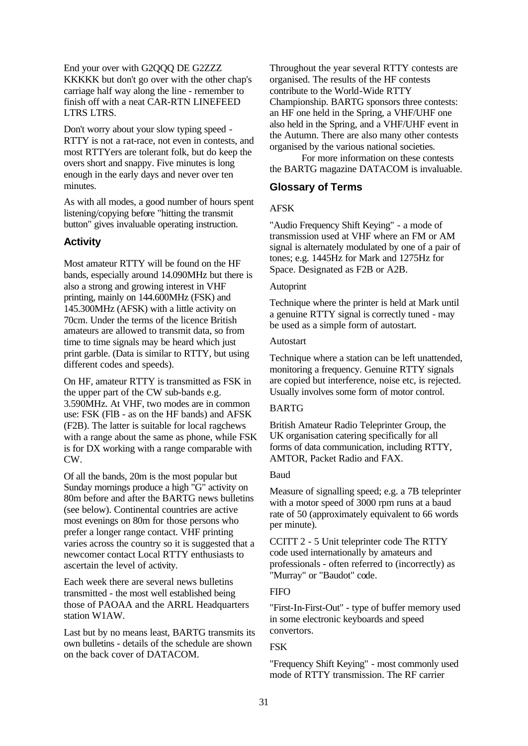End your over with G2QQQ DE G2ZZZ KKKKK but don't go over with the other chap's carriage half way along the line - remember to finish off with a neat CAR-RTN LINEFEED LTRS LTRS.

Don't worry about your slow typing speed - RTTY is not a rat-race, not even in contests, and most RTTYers are tolerant folk, but do keep the overs short and snappy. Five minutes is long enough in the early days and never over ten minutes.

As with all modes, a good number of hours spent listening/copying before "hitting the transmit button" gives invaluable operating instruction.

# **Activity**

Most amateur RTTY will be found on the HF bands, especially around 14.090MHz but there is also a strong and growing interest in VHF printing, mainly on 144.600MHz (FSK) and 145.300MHz (AFSK) with a little activity on 70cm. Under the terms of the licence British amateurs are allowed to transmit data, so from time to time signals may be heard which just print garble. (Data is similar to RTTY, but using different codes and speeds).

On HF, amateur RTTY is transmitted as FSK in the upper part of the CW sub-bands e.g. 3.590MHz. At VHF, two modes are in common use: FSK (FlB - as on the HF bands) and AFSK (F2B). The latter is suitable for local ragchews with a range about the same as phone, while FSK is for DX working with a range comparable with CW.

Of all the bands, 20m is the most popular but Sunday mornings produce a high "G" activity on 80m before and after the BARTG news bulletins (see below). Continental countries are active most evenings on 80m for those persons who prefer a longer range contact. VHF printing varies across the country so it is suggested that a newcomer contact Local RTTY enthusiasts to ascertain the level of activity.

Each week there are several news bulletins transmitted - the most well established being those of PAOAA and the ARRL Headquarters station W1AW.

Last but by no means least, BARTG transmits its own bulletins - details of the schedule are shown on the back cover of DATACOM.

Throughout the year several RTTY contests are organised. The results of the HF contests contribute to the World-Wide RTTY Championship. BARTG sponsors three contests: an HF one held in the Spring, a VHF/UHF one also held in the Spring, and a VHF/UHF event in the Autumn. There are also many other contests organised by the various national societies.

For more information on these contests the BARTG magazine DATACOM is invaluable.

# **Glossary of Terms**

# AFSK

"Audio Frequency Shift Keying" - a mode of transmission used at VHF where an FM or AM signal is alternately modulated by one of a pair of tones; e.g. 1445Hz for Mark and 1275Hz for Space. Designated as F2B or A2B.

#### Autoprint

Technique where the printer is held at Mark until a genuine RTTY signal is correctly tuned - may be used as a simple form of autostart.

#### Autostart

Technique where a station can be left unattended, monitoring a frequency. Genuine RTTY signals are copied but interference, noise etc, is rejected. Usually involves some form of motor control.

#### BARTG

British Amateur Radio Teleprinter Group, the UK organisation catering specifically for all forms of data communication, including RTTY, AMTOR, Packet Radio and FAX.

#### Baud

Measure of signalling speed; e.g. a 7B teleprinter with a motor speed of 3000 rpm runs at a baud rate of 50 (approximately equivalent to 66 words per minute).

CCITT 2 - 5 Unit teleprinter code The RTTY code used internationally by amateurs and professionals - often referred to (incorrectly) as "Murray" or "Baudot" code.

# **FIFO**

"First-In-First-Out" - type of buffer memory used in some electronic keyboards and speed convertors.

# **FSK**

"Frequency Shift Keying" - most commonly used mode of RTTY transmission. The RF carrier